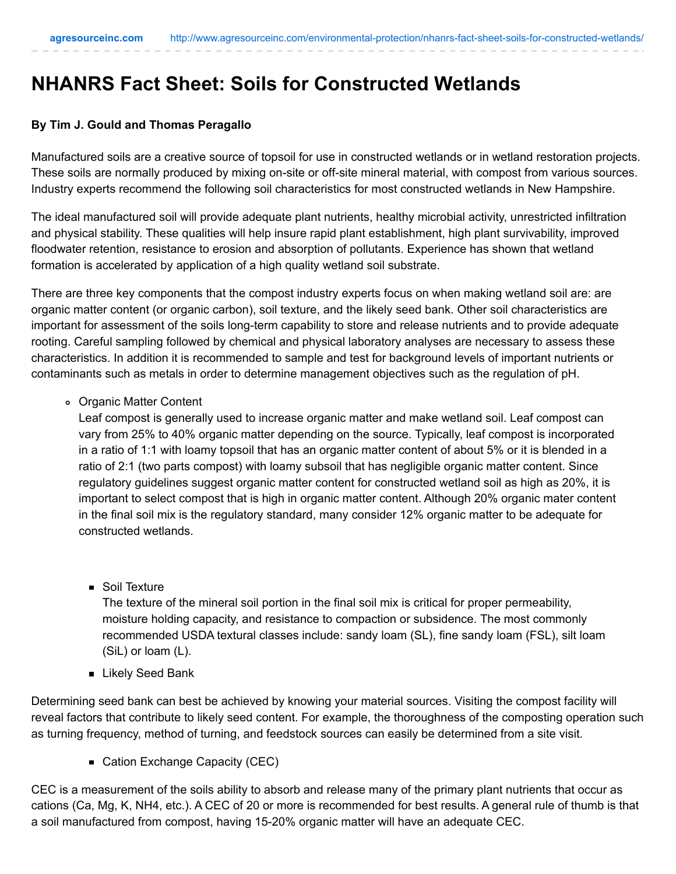## **NHANRS Fact Sheet: Soils for Constructed Wetlands**

## **By Tim J. Gould and Thomas Peragallo**

Manufactured soils are a creative source of topsoil for use in constructed wetlands or in wetland restoration projects. These soils are normally produced by mixing on-site or off-site mineral material, with compost from various sources. Industry experts recommend the following soil characteristics for most constructed wetlands in New Hampshire.

The ideal manufactured soil will provide adequate plant nutrients, healthy microbial activity, unrestricted infiltration and physical stability. These qualities will help insure rapid plant establishment, high plant survivability, improved floodwater retention, resistance to erosion and absorption of pollutants. Experience has shown that wetland formation is accelerated by application of a high quality wetland soil substrate.

There are three key components that the compost industry experts focus on when making wetland soil are: are organic matter content (or organic carbon), soil texture, and the likely seed bank. Other soil characteristics are important for assessment of the soils long-term capability to store and release nutrients and to provide adequate rooting. Careful sampling followed by chemical and physical laboratory analyses are necessary to assess these characteristics. In addition it is recommended to sample and test for background levels of important nutrients or contaminants such as metals in order to determine management objectives such as the regulation of pH.

Organic Matter Content

Leaf compost is generally used to increase organic matter and make wetland soil. Leaf compost can vary from 25% to 40% organic matter depending on the source. Typically, leaf compost is incorporated in a ratio of 1:1 with loamy topsoil that has an organic matter content of about 5% or it is blended in a ratio of 2:1 (two parts compost) with loamy subsoil that has negligible organic matter content. Since regulatory guidelines suggest organic matter content for constructed wetland soil as high as 20%, it is important to select compost that is high in organic matter content. Although 20% organic mater content in the final soil mix is the regulatory standard, many consider 12% organic matter to be adequate for constructed wetlands.

■ Soil Texture

The texture of the mineral soil portion in the final soil mix is critical for proper permeability, moisture holding capacity, and resistance to compaction or subsidence. The most commonly recommended USDA textural classes include: sandy loam (SL), fine sandy loam (FSL), silt loam (SiL) or loam (L).

**Likely Seed Bank** 

Determining seed bank can best be achieved by knowing your material sources. Visiting the compost facility will reveal factors that contribute to likely seed content. For example, the thoroughness of the composting operation such as turning frequency, method of turning, and feedstock sources can easily be determined from a site visit.

■ Cation Exchange Capacity (CEC)

CEC is a measurement of the soils ability to absorb and release many of the primary plant nutrients that occur as cations (Ca, Mg, K, NH4, etc.). A CEC of 20 or more is recommended for best results. A general rule of thumb is that a soil manufactured from compost, having 15-20% organic matter will have an adequate CEC.